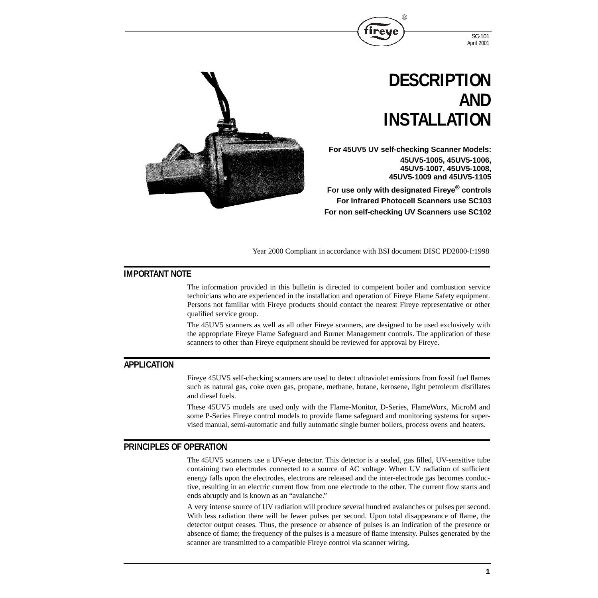



**For 45UV5 UV self-checking Scanner Models: 45UV5-1005, 45UV5-1006, 45UV5-1007, 45UV5-1008, 45UV5-1009 and 45UV5-1105**

®

**For use only with designated Fireye® controls For Infrared Photocell Scanners use SC103 For non self-checking UV Scanners use SC102**

Year 2000 Compliant in accordance with BSI document DISC PD2000-I:1998

## **IMPORTANT NOTE**

The information provided in this bulletin is directed to competent boiler and combustion service technicians who are experienced in the installation and operation of Fireye Flame Safety equipment. Persons not familiar with Fireye products should contact the nearest Fireye representative or other qualified service group.

The 45UV5 scanners as well as all other Fireye scanners, are designed to be used exclusively with the appropriate Fireye Flame Safeguard and Burner Management controls. The application of these scanners to other than Fireye equipment should be reviewed for approval by Fireye.

## **APPLICATION**

Fireye 45UV5 self-checking scanners are used to detect ultraviolet emissions from fossil fuel flames such as natural gas, coke oven gas, propane, methane, butane, kerosene, light petroleum distillates and diesel fuels.

These 45UV5 models are used only with the Flame-Monitor, D-Series, FlameWorx, MicroM and some P-Series Fireye control models to provide flame safeguard and monitoring systems for supervised manual, semi-automatic and fully automatic single burner boilers, process ovens and heaters.

### **PRINCIPLES OF OPERATION**

The 45UV5 scanners use a UV-eye detector. This detector is a sealed, gas filled, UV-sensitive tube containing two electrodes connected to a source of AC voltage. When UV radiation of sufficient energy falls upon the electrodes, electrons are released and the inter-electrode gas becomes conductive, resulting in an electric current flow from one electrode to the other. The current flow starts and ends abruptly and is known as an "avalanche."

A very intense source of UV radiation will produce several hundred avalanches or pulses per second. With less radiation there will be fewer pulses per second. Upon total disappearance of flame, the detector output ceases. Thus, the presence or absence of pulses is an indication of the presence or absence of flame; the frequency of the pulses is a measure of flame intensity. Pulses generated by the scanner are transmitted to a compatible Fireye control via scanner wiring.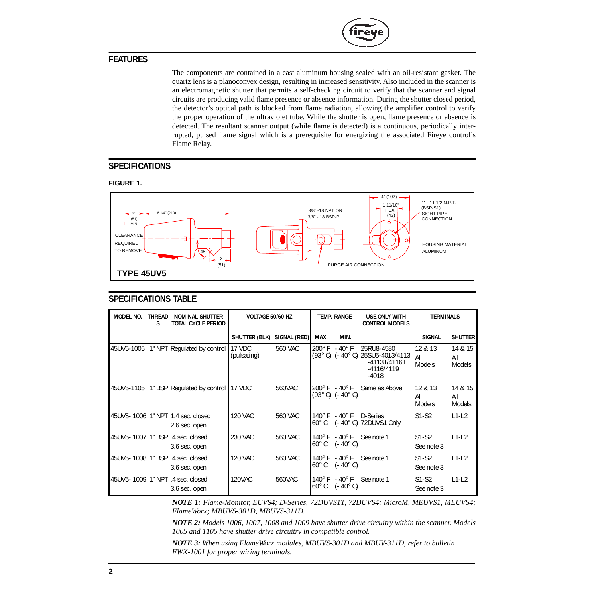## **FEATURES**

The components are contained in a cast aluminum housing sealed with an oil-resistant gasket. The quartz lens is a planoconvex design, resulting in increased sensitivity. Also included in the scanner is an electromagnetic shutter that permits a self-checking circuit to verify that the scanner and signal circuits are producing valid flame presence or absence information. During the shutter closed period, the detector's optical path is blocked from flame radiation, allowing the amplifier control to verify the proper operation of the ultraviolet tube. While the shutter is open, flame presence or absence is detected. The resultant scanner output (while flame is detected) is a continuous, periodically interrupted, pulsed flame signal which is a prerequisite for energizing the associated Fireye control's Flame Relay.

**R** 

'irev

# **SPECIFICATIONS**

### **FIGURE 1.**



## **SPECIFICATIONS TABLE**

| MODEL NO.  | <b>THREAD</b><br>S | <b>NOMINAL SHUTTER</b><br><b>TOTAL CYCLE PERIOD</b> | VOLTAGE 50/60 HZ      |                | <b>TEMP. RANGE</b>                        |                                    | <b>USE ONLY WITH</b><br><b>CONTROL MODELS</b>                                         | <b>TERMINALS</b>         |                                 |
|------------|--------------------|-----------------------------------------------------|-----------------------|----------------|-------------------------------------------|------------------------------------|---------------------------------------------------------------------------------------|--------------------------|---------------------------------|
|            |                    |                                                     | SHUTTER (BLK)         | SIGNAL (RED)   | MAX.                                      | MIN.                               |                                                                                       | <b>SIGNAL</b>            | <b>SHUTTER</b>                  |
| 45UV5-1005 | $1"$ NPT           | Regulated by control                                | 17 VDC<br>(pulsating) | 560 VAC        | $200^\circ$ F<br>$(93^{\circ} \text{ C})$ | $-40^\circ$ F                      | 25RU8-4580<br>(- 40° C)  25SU5-4013/4113<br>$-4113T/4116T$<br>$-4116/4119$<br>$-4018$ | 12 & 13<br>All<br>Models | 14 & 15<br>All<br>Models        |
| 45UV5-1105 |                    | 1" BSP Regulated by control                         | 17 VDC                | 560VAC         | $200^\circ$ F<br>$(93^{\circ} \text{C})$  | $-40^\circ$ F<br>$(-40^{\circ} C)$ | Same as Above                                                                         | 12 & 13<br>All<br>Models | 14 & 15<br>All<br><b>Models</b> |
| 45UV5-1006 | $1"$ NPT           | 1.4 sec. closed<br>2.6 sec. open                    | <b>120 VAC</b>        | 560 VAC        | $140^\circ$ F<br>$60^{\circ}$ C           | $-40^\circ$ F<br>$(-40^{\circ} C)$ | D-Series<br>72DUVS1 Only                                                              | $S1-S2$                  | $L1-L2$                         |
|            |                    | .4 sec. closed<br>3.6 sec. open                     | 230 VAC               | 560 VAC        | $140^\circ$ F<br>$60^{\circ}$ C           | $-40^{\circ}$ F<br>(- 40° C)       | See note 1                                                                            | $S1-S2$<br>See note 3    | $L1-L2$                         |
| 45UV5-1008 | 1" BSP             | .4 sec. closed<br>3.6 sec. open                     | <b>120 VAC</b>        | <b>560 VAC</b> | $140^\circ$ F<br>$60^{\circ}$ C           | $-40^\circ$ F<br>(- 40° C).        | See note 1                                                                            | $S1-S2$<br>See note 3    | $L1-L2$                         |
| 45UV5-1009 | 1" NPT             | .4 sec. closed<br>3.6 sec. open                     | <b>120VAC</b>         | 560VAC         | $140^\circ$ F<br>$60^{\circ}$ C           | $-40^\circ$ F<br>$(-40^{\circ} C)$ | See note 1                                                                            | $S1-S2$<br>See note 3    | $L1-L2$                         |

*NOTE 1: Flame-Monitor, EUVS4; D-Series, 72DUVS1T, 72DUVS4; MicroM, MEUVS1, MEUVS4; FlameWorx; MBUVS-301D, MBUVS-311D.*

*NOTE 2: Models 1006, 1007, 1008 and 1009 have shutter drive circuitry within the scanner. Models 1005 and 1105 have shutter drive circuitry in compatible control.*

*NOTE 3: When using FlameWorx modules, MBUVS-301D and MBUV-311D, refer to bulletin FWX-1001 for proper wiring terminals.*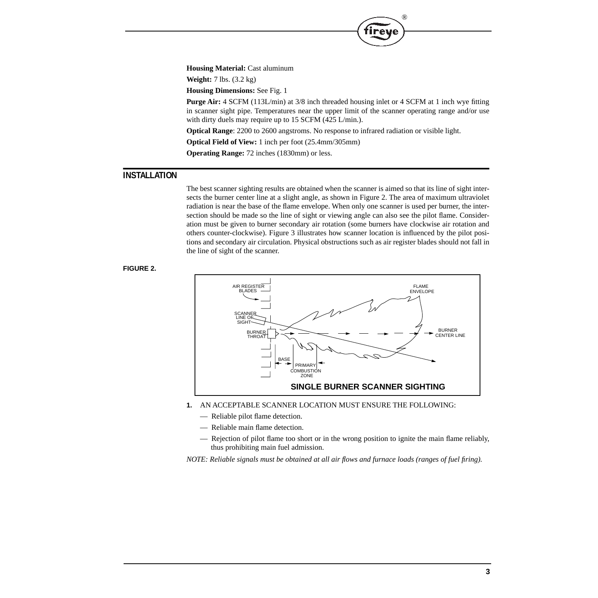**Housing Material:** Cast aluminum

**Weight:** 7 lbs. (3.2 kg)

**Housing Dimensions:** See Fig. 1

**Purge Air:** 4 SCFM (113L/min) at 3/8 inch threaded housing inlet or 4 SCFM at 1 inch wye fitting in scanner sight pipe. Temperatures near the upper limit of the scanner operating range and/or use with dirty duels may require up to 15 SCFM (425 L/min.).

®

**Optical Range**: 2200 to 2600 angstroms. No response to infrared radiation or visible light.

**Optical Field of View:** 1 inch per foot (25.4mm/305mm)

**Operating Range:** 72 inches (1830mm) or less.

## **INSTALLATION**

The best scanner sighting results are obtained when the scanner is aimed so that its line of sight intersects the burner center line at a slight angle, as shown in Figure 2. The area of maximum ultraviolet radiation is near the base of the flame envelope. When only one scanner is used per burner, the intersection should be made so the line of sight or viewing angle can also see the pilot flame. Consideration must be given to burner secondary air rotation (some burners have clockwise air rotation and others counter-clockwise). Figure 3 illustrates how scanner location is influenced by the pilot positions and secondary air circulation. Physical obstructions such as air register blades should not fall in the line of sight of the scanner.

#### **FIGURE 2.**



- **1.** AN ACCEPTABLE SCANNER LOCATION MUST ENSURE THE FOLLOWING:
	- Reliable pilot flame detection.
	- Reliable main flame detection.
	- Rejection of pilot flame too short or in the wrong position to ignite the main flame reliably, thus prohibiting main fuel admission.

*NOTE: Reliable signals must be obtained at all air flows and furnace loads (ranges of fuel firing).*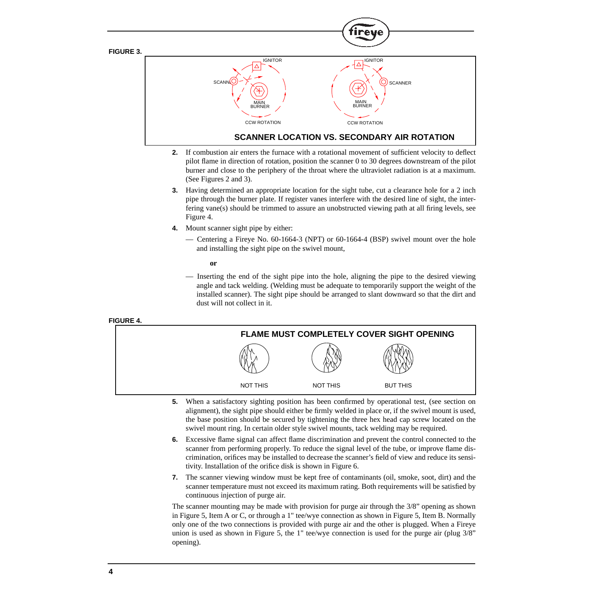

- **2.** If combustion air enters the furnace with a rotational movement of sufficient velocity to deflect pilot flame in direction of rotation, position the scanner 0 to 30 degrees downstream of the pilot burner and close to the periphery of the throat where the ultraviolet radiation is at a maximum. (See Figures 2 and 3).
- **3.** Having determined an appropriate location for the sight tube, cut a clearance hole for a 2 inch pipe through the burner plate. If register vanes interfere with the desired line of sight, the interfering vane(s) should be trimmed to assure an unobstructed viewing path at all firing levels, see Figure 4.
- **4.** Mount scanner sight pipe by either:
	- Centering a Fireye No. 60-1664-3 (NPT) or 60-1664-4 (BSP) swivel mount over the hole and installing the sight pipe on the swivel mount,

**or**

— Inserting the end of the sight pipe into the hole, aligning the pipe to the desired viewing angle and tack welding. (Welding must be adequate to temporarily support the weight of the installed scanner). The sight pipe should be arranged to slant downward so that the dirt and dust will not collect in it.

| FLAME MUST COMPLETELY COVER SIGHT OPENING |          |                 |  |
|-------------------------------------------|----------|-----------------|--|
|                                           |          |                 |  |
| NOT THIS                                  | NOT THIS | <b>BUT THIS</b> |  |

- **5.** When a satisfactory sighting position has been confirmed by operational test, (see section on alignment), the sight pipe should either be firmly welded in place or, if the swivel mount is used, the base position should be secured by tightening the three hex head cap screw located on the swivel mount ring. In certain older style swivel mounts, tack welding may be required.
- **6.** Excessive flame signal can affect flame discrimination and prevent the control connected to the scanner from performing properly. To reduce the signal level of the tube, or improve flame discrimination, orifices may be installed to decrease the scanner's field of view and reduce its sensitivity. Installation of the orifice disk is shown in Figure 6.
- **7.** The scanner viewing window must be kept free of contaminants (oil, smoke, soot, dirt) and the scanner temperature must not exceed its maximum rating. Both requirements will be satisfied by continuous injection of purge air.

The scanner mounting may be made with provision for purge air through the 3/8" opening as shown in Figure 5, Item A or C, or through a 1" tee/wye connection as shown in Figure 5, Item B. Normally only one of the two connections is provided with purge air and the other is plugged. When a Fireye union is used as shown in Figure 5, the 1" tee/wye connection is used for the purge air (plug 3/8" opening).

## **FIGURE 4.**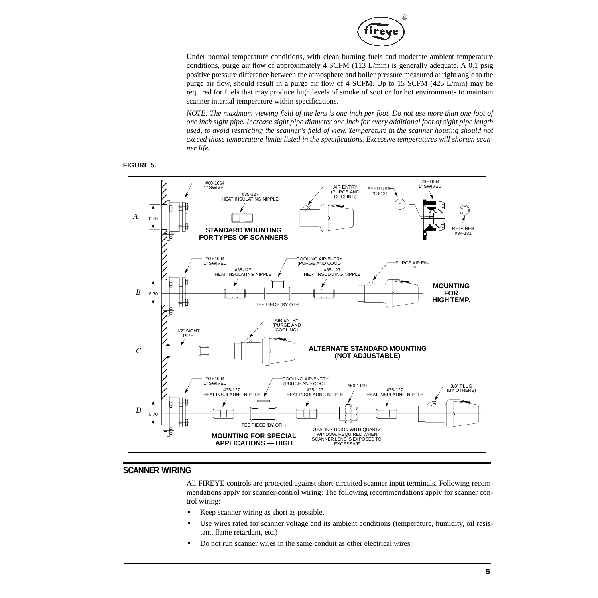

Under normal temperature conditions, with clean burning fuels and moderate ambient temperature conditions, purge air flow of approximately 4 SCFM (113 L/min) is generally adequate. A 0.1 psig positive pressure difference between the atmosphere and boiler pressure measured at right angle to the purge air flow, should result in a purge air flow of 4 SCFM. Up to 15 SCFM (425 L/min) may be required for fuels that may produce high levels of smoke of soot or for hot environments to maintain scanner internal temperature within specifications.

*NOTE: The maximum viewing field of the lens is one inch per foot. Do not use more than one foot of one inch sight pipe. Increase sight pipe diameter one inch for every additional foot of sight pipe length used, to avoid restricting the scanner's field of view. Temperature in the scanner housing should not exceed those temperature limits listed in the specifications. Excessive temperatures will shorten scanner life.*





## **SCANNER WIRING**

All FIREYE controls are protected against short-circuited scanner input terminals. Following recommendations apply for scanner-control wiring: The following recommendations apply for scanner control wiring:

- **•** Keep scanner wiring as short as possible.
- Use wires rated for scanner voltage and its ambient conditions (temperature, humidity, oil resistant, flame retardant, etc.)
- **•** Do not run scanner wires in the same conduit as other electrical wires.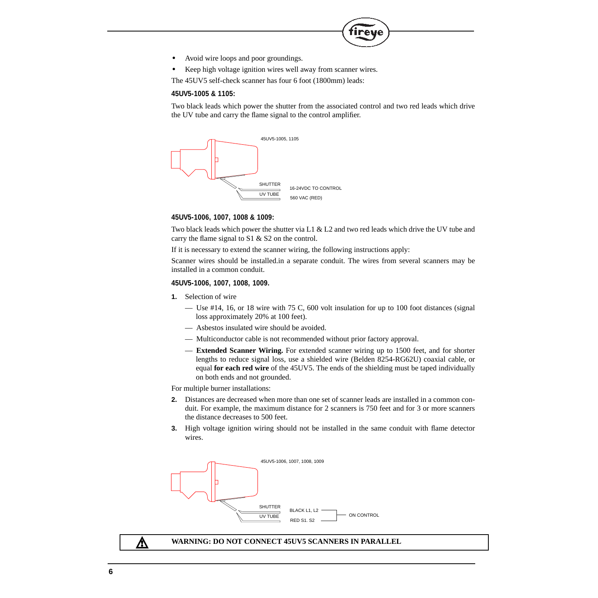- **•** Avoid wire loops and poor groundings.
- **•** Keep high voltage ignition wires well away from scanner wires.

The 45UV5 self-check scanner has four 6 foot (1800mm) leads:

#### **45UV5-1005 & 1105:**

Two black leads which power the shutter from the associated control and two red leads which drive the UV tube and carry the flame signal to the control amplifier.

 $^{\circledR}$ 



#### **45UV5-1006, 1007, 1008 & 1009:**

Two black leads which power the shutter via L1 & L2 and two red leads which drive the UV tube and carry the flame signal to S1 & S2 on the control.

If it is necessary to extend the scanner wiring, the following instructions apply:

Scanner wires should be installed.in a separate conduit. The wires from several scanners may be installed in a common conduit.

#### **45UV5-1006, 1007, 1008, 1009.**

- **1.** Selection of wire
	- Use #14, 16, or 18 wire with 75 C, 600 volt insulation for up to 100 foot distances (signal loss approximately 20% at 100 feet).
	- Asbestos insulated wire should be avoided.
	- Multiconductor cable is not recommended without prior factory approval.
	- **Extended Scanner Wiring.** For extended scanner wiring up to 1500 feet, and for shorter lengths to reduce signal loss, use a shielded wire (Belden 8254-RG62U) coaxial cable, or equal **for each red wire** of the 45UV5. The ends of the shielding must be taped individually on both ends and not grounded.

For multiple burner installations:

- **2.** Distances are decreased when more than one set of scanner leads are installed in a common conduit. For example, the maximum distance for 2 scanners is 750 feet and for 3 or more scanners the distance decreases to 500 feet.
- **3.** High voltage ignition wiring should not be installed in the same conduit with flame detector wires.



### Λ

#### **WARNING: DO NOT CONNECT 45UV5 SCANNERS IN PARALLEL**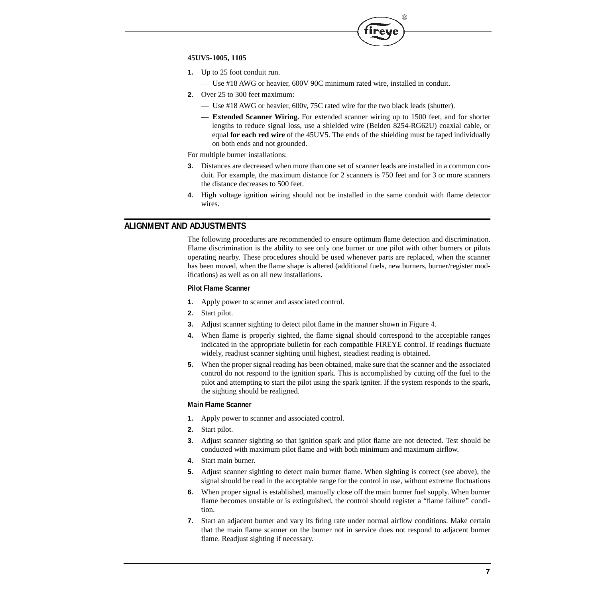

#### **45UV5-1005, 1105**

- **1.** Up to 25 foot conduit run.
	- Use #18 AWG or heavier, 600V 90C minimum rated wire, installed in conduit.
- **2.** Over 25 to 300 feet maximum:
	- Use #18 AWG or heavier, 600v, 75C rated wire for the two black leads (shutter).
	- **Extended Scanner Wiring.** For extended scanner wiring up to 1500 feet, and for shorter lengths to reduce signal loss, use a shielded wire (Belden 8254-RG62U) coaxial cable, or equal **for each red wire** of the 45UV5. The ends of the shielding must be taped individually on both ends and not grounded.

For multiple burner installations:

- **3.** Distances are decreased when more than one set of scanner leads are installed in a common conduit. For example, the maximum distance for 2 scanners is 750 feet and for 3 or more scanners the distance decreases to 500 feet.
- **4.** High voltage ignition wiring should not be installed in the same conduit with flame detector wires.

## **ALIGNMENT AND ADJUSTMENTS**

The following procedures are recommended to ensure optimum flame detection and discrimination. Flame discrimination is the ability to see only one burner or one pilot with other burners or pilots operating nearby. These procedures should be used whenever parts are replaced, when the scanner has been moved, when the flame shape is altered (additional fuels, new burners, burner/register modifications) as well as on all new installations.

#### **Pilot Flame Scanner**

- **1.** Apply power to scanner and associated control.
- **2.** Start pilot.
- **3.** Adjust scanner sighting to detect pilot flame in the manner shown in Figure 4.
- **4.** When flame is properly sighted, the flame signal should correspond to the acceptable ranges indicated in the appropriate bulletin for each compatible FIREYE control. If readings fluctuate widely, readjust scanner sighting until highest, steadiest reading is obtained.
- **5.** When the proper signal reading has been obtained, make sure that the scanner and the associated control do not respond to the ignition spark. This is accomplished by cutting off the fuel to the pilot and attempting to start the pilot using the spark igniter. If the system responds to the spark, the sighting should be realigned.

#### **Main Flame Scanner**

- **1.** Apply power to scanner and associated control.
- **2.** Start pilot.
- **3.** Adjust scanner sighting so that ignition spark and pilot flame are not detected. Test should be conducted with maximum pilot flame and with both minimum and maximum airflow.
- **4.** Start main burner.
- **5.** Adjust scanner sighting to detect main burner flame. When sighting is correct (see above), the signal should be read in the acceptable range for the control in use, without extreme fluctuations
- **6.** When proper signal is established, manually close off the main burner fuel supply. When burner flame becomes unstable or is extinguished, the control should register a "flame failure" condition.
- **7.** Start an adjacent burner and vary its firing rate under normal airflow conditions. Make certain that the main flame scanner on the burner not in service does not respond to adjacent burner flame. Readjust sighting if necessary.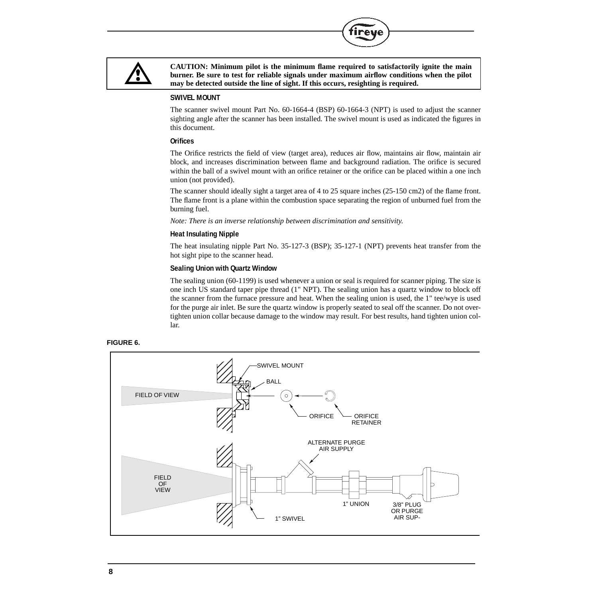

**CAUTION: Minimum pilot is the minimum flame required to satisfactorily ignite the main burner. Be sure to test for reliable signals under maximum airflow conditions when the pilot may be detected outside the line of sight. If this occurs, resighting is required.**

**R** 

#### **SWIVEL MOUNT**

The scanner swivel mount Part No. 60-1664-4 (BSP) 60-1664-3 (NPT) is used to adjust the scanner sighting angle after the scanner has been installed. The swivel mount is used as indicated the figures in this document.

### **Orifices**

The Orifice restricts the field of view (target area), reduces air flow, maintains air flow, maintain air block, and increases discrimination between flame and background radiation. The orifice is secured within the ball of a swivel mount with an orifice retainer or the orifice can be placed within a one inch union (not provided).

The scanner should ideally sight a target area of 4 to 25 square inches (25-150 cm2) of the flame front. The flame front is a plane within the combustion space separating the region of unburned fuel from the burning fuel.

*Note: There is an inverse relationship between discrimination and sensitivity.*

### **Heat Insulating Nipple**

The heat insulating nipple Part No. 35-127-3 (BSP); 35-127-1 (NPT) prevents heat transfer from the hot sight pipe to the scanner head.

#### **Sealing Union with Quartz Window**

The sealing union (60-1199) is used whenever a union or seal is required for scanner piping. The size is one inch US standard taper pipe thread (1" NPT). The sealing union has a quartz window to block off the scanner from the furnace pressure and heat. When the sealing union is used, the 1" tee/wye is used for the purge air inlet. Be sure the quartz window is properly seated to seal off the scanner. Do not overtighten union collar because damage to the window may result. For best results, hand tighten union collar.



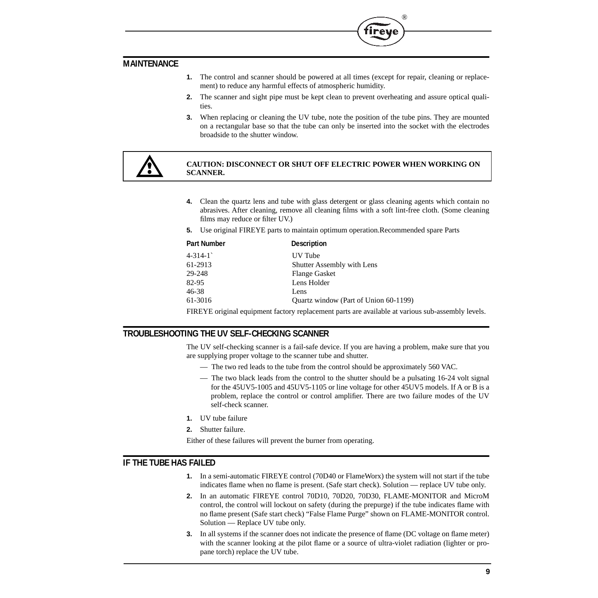## **MAINTENANCE**

**1.** The control and scanner should be powered at all times (except for repair, cleaning or replacement) to reduce any harmful effects of atmospheric humidity.

®

- **2.** The scanner and sight pipe must be kept clean to prevent overheating and assure optical qualities.
- **3.** When replacing or cleaning the UV tube, note the position of the tube pins. They are mounted on a rectangular base so that the tube can only be inserted into the socket with the electrodes broadside to the shutter window.



### **CAUTION: DISCONNECT OR SHUT OFF ELECTRIC POWER WHEN WORKING ON SCANNER.**

- **4.** Clean the quartz lens and tube with glass detergent or glass cleaning agents which contain no abrasives. After cleaning, remove all cleaning films with a soft lint-free cloth. (Some cleaning films may reduce or filter UV.)
- **5.** Use original FIREYE parts to maintain optimum operation.Recommended spare Parts

| <b>Part Number</b> | <b>Description</b>                    |
|--------------------|---------------------------------------|
| $4 - 314 - 1$      | UV Tube                               |
| 61-2913            | <b>Shutter Assembly with Lens</b>     |
| 29-248             | <b>Flange Gasket</b>                  |
| 82-95              | Lens Holder                           |
| 46-38              | Lens                                  |
| 61-3016            | Quartz window (Part of Union 60-1199) |
|                    |                                       |

FIREYE original equipment factory replacement parts are available at various sub-assembly levels.

## **TROUBLESHOOTING THE UV SELF-CHECKING SCANNER**

The UV self-checking scanner is a fail-safe device. If you are having a problem, make sure that you are supplying proper voltage to the scanner tube and shutter.

- The two red leads to the tube from the control should be approximately 560 VAC.
- The two black leads from the control to the shutter should be a pulsating 16-24 volt signal for the 45UV5-1005 and 45UV5-1105 or line voltage for other 45UV5 models. If A or B is a problem, replace the control or control amplifier. There are two failure modes of the UV self-check scanner.
- **1.** UV tube failure
- **2.** Shutter failure.

Either of these failures will prevent the burner from operating.

## **IF THE TUBE HAS FAILED**

- **1.** In a semi-automatic FIREYE control (70D40 or FlameWorx) the system will not start if the tube indicates flame when no flame is present. (Safe start check). Solution — replace UV tube only.
- **2.** In an automatic FIREYE control 70D10, 70D20, 70D30, FLAME-MONITOR and MicroM control, the control will lockout on safety (during the prepurge) if the tube indicates flame with no flame present (Safe start check) "False Flame Purge" shown on FLAME-MONITOR control. Solution — Replace UV tube only.
- **3.** In all systems if the scanner does not indicate the presence of flame (DC voltage on flame meter) with the scanner looking at the pilot flame or a source of ultra-violet radiation (lighter or propane torch) replace the UV tube.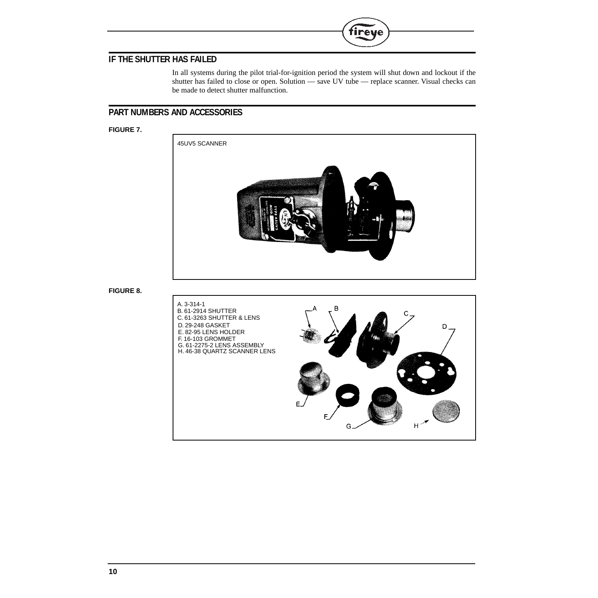# **IF THE SHUTTER HAS FAILED**

In all systems during the pilot trial-for-ignition period the system will shut down and lockout if the shutter has failed to close or open. Solution — save UV tube — replace scanner. Visual checks can be made to detect shutter malfunction.

 $^{\circledR}$ 

tirey

## **PART NUMBERS AND ACCESSORIES**

### **FIGURE 7.**



**FIGURE 8.**

# A. 3-314-1 в B. 61-2914 SHUTTER C. 61-3263 SHUTTER & LENS D. 29-248 GASKET D E. 82-95 LENS HOLDER F. 16-103 GROMMET G. 61-2275-2 LENS ASSEMBLY H. 46-38 QUARTZ SCANNER LENSF н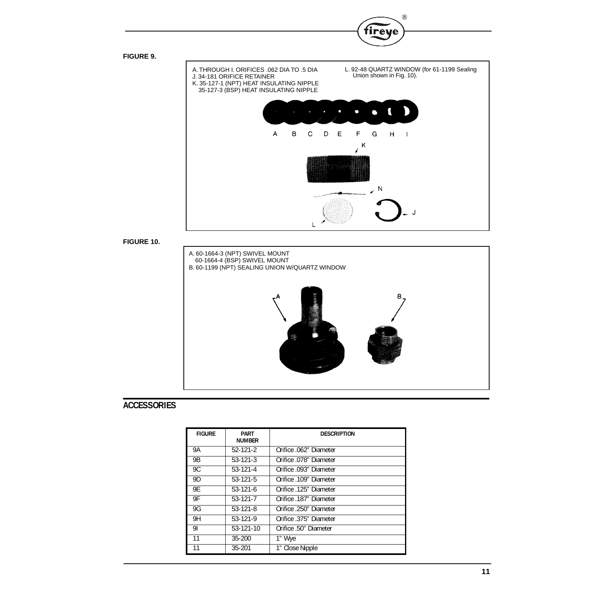



®

**FIGURE 10.**



# **ACCESSORIES**

| <b>FIGURE</b> | <b>PART</b><br><b>NUMBER</b> | <b>DESCRIPTION</b>     |
|---------------|------------------------------|------------------------|
| 9Α            | $52-121-2$                   | Orifice .062" Diameter |
| <b>9B</b>     | $53 - 121 - 3$               | Orifice .078" Diameter |
| 9C            | $53 - 121 - 4$               | Orifice .093" Diameter |
| 9D            | $53 - 121 - 5$               | Orifice .109" Diameter |
| 9E            | $53-121-6$                   | Orifice .125" Diameter |
| 9F            | $53-121-7$                   | Orifice .187" Diameter |
| 9G            | 53-121-8                     | Orifice .250" Diameter |
| 9H            | 53-121-9                     | Orifice 375" Diameter  |
| 91            | 53-121-10                    | Orifice .50" Diameter  |
| 11            | $35 - 200$                   | 1" Wye                 |
| 11            | $35 - 201$                   | 1" Close Nipple        |